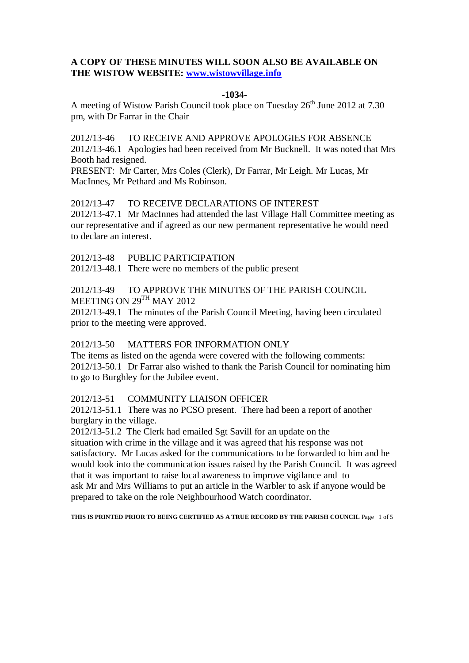# **A COPY OF THESE MINUTES WILL SOON ALSO BE AVAILABLE ON THE WISTOW WEBSITE: [www.wistowvillage.info](http://www.wistowvillage.info/)**

### **-1034-**

A meeting of Wistow Parish Council took place on Tuesday 26<sup>th</sup> June 2012 at 7.30 pm, with Dr Farrar in the Chair

2012/13-46 TO RECEIVE AND APPROVE APOLOGIES FOR ABSENCE 2012/13-46.1 Apologies had been received from Mr Bucknell. It was noted that Mrs Booth had resigned.

PRESENT: Mr Carter, Mrs Coles (Clerk), Dr Farrar, Mr Leigh. Mr Lucas, Mr MacInnes, Mr Pethard and Ms Robinson.

# 2012/13-47 TO RECEIVE DECLARATIONS OF INTEREST

2012/13-47.1 Mr MacInnes had attended the last Village Hall Committee meeting as our representative and if agreed as our new permanent representative he would need to declare an interest.

2012/13-48 PUBLIC PARTICIPATION

2012/13-48.1 There were no members of the public present

# 2012/13-49 TO APPROVE THE MINUTES OF THE PARISH COUNCIL MEETING ON 29TH MAY 2012

2012/13-49.1 The minutes of the Parish Council Meeting, having been circulated prior to the meeting were approved.

## 2012/13-50 MATTERS FOR INFORMATION ONLY

The items as listed on the agenda were covered with the following comments: 2012/13-50.1 Dr Farrar also wished to thank the Parish Council for nominating him to go to Burghley for the Jubilee event.

## 2012/13-51 COMMUNITY LIAISON OFFICER

2012/13-51.1 There was no PCSO present. There had been a report of another burglary in the village.

2012/13-51.2 The Clerk had emailed Sgt Savill for an update on the situation with crime in the village and it was agreed that his response was not satisfactory. Mr Lucas asked for the communications to be forwarded to him and he would look into the communication issues raised by the Parish Council. It was agreed that it was important to raise local awareness to improve vigilance and to ask Mr and Mrs Williams to put an article in the Warbler to ask if anyone would be prepared to take on the role Neighbourhood Watch coordinator.

**THIS IS PRINTED PRIOR TO BEING CERTIFIED AS A TRUE RECORD BY THE PARISH COUNCIL** Page 1 of 5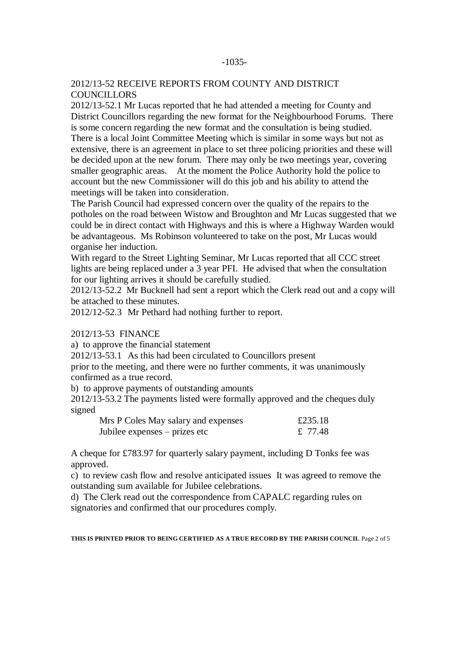### -1035-

### 2012/13-52 RECEIVE REPORTS FROM COUNTY AND DISTRICT **COUNCILLORS**

2012/13-52.1 Mr Lucas reported that he had attended a meeting for County and District Councillors regarding the new format for the Neighbourhood Forums. There is some concern regarding the new format and the consultation is being studied. There is a local Joint Committee Meeting which is similar in some ways but not as extensive, there is an agreement in place to set three policing priorities and these will be decided upon at the new forum. There may only be two meetings year, covering smaller geographic areas. At the moment the Police Authority hold the police to account but the new Commissioner will do this job and his ability to attend the meetings will be taken into consideration.

The Parish Council had expressed concern over the quality of the repairs to the potholes on the road between Wistow and Broughton and Mr Lucas suggested that we could be in direct contact with Highways and this is where a Highway Warden would be advantageous. Ms Robinson volunteered to take on the post, Mr Lucas would organise her induction.

With regard to the Street Lighting Seminar, Mr Lucas reported that all CCC street lights are being replaced under a 3 year PFI. He advised that when the consultation for our lighting arrives it should be carefully studied.

2012/13-52.2 Mr Bucknell had sent a report which the Clerk read out and a copy will be attached to these minutes.

2012/12-52.3 Mr Pethard had nothing further to report.

#### 2012/13-53 FINANCE

a) to approve the financial statement

2012/13-53.1 As this had been circulated to Councillors present

prior to the meeting, and there were no further comments, it was unanimously confirmed as a true record.

b) to approve payments of outstanding amounts

2012/13-53.2 The payments listed were formally approved and the cheques duly signed

| Mrs P Coles May salary and expenses | £235.18 |
|-------------------------------------|---------|
| Jubilee expenses – prizes etc       | £ 77.48 |

A cheque for £783.97 for quarterly salary payment, including D Tonks fee was approved.

c) to review cash flow and resolve anticipated issues It was agreed to remove the outstanding sum available for Jubilee celebrations.

d) The Clerk read out the correspondence from CAPALC regarding rules on signatories and confirmed that our procedures comply.

**THIS IS PRINTED PRIOR TO BEING CERTIFIED AS A TRUE RECORD BY THE PARISH COUNCIL** Page 2 of 5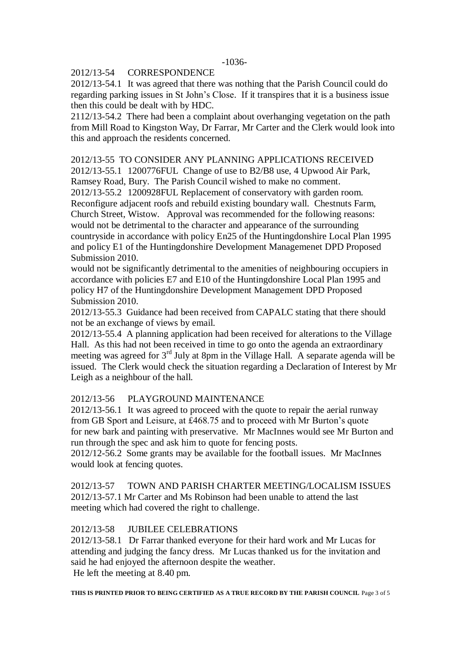### 2012/13-54 CORRESPONDENCE

2012/13-54.1 It was agreed that there was nothing that the Parish Council could do regarding parking issues in St John's Close. If it transpires that it is a business issue then this could be dealt with by HDC.

2112/13-54.2 There had been a complaint about overhanging vegetation on the path from Mill Road to Kingston Way, Dr Farrar, Mr Carter and the Clerk would look into this and approach the residents concerned.

# 2012/13-55 TO CONSIDER ANY PLANNING APPLICATIONS RECEIVED

2012/13-55.1 1200776FUL Change of use to B2/B8 use, 4 Upwood Air Park, Ramsey Road, Bury. The Parish Council wished to make no comment.

2012/13-55.2 1200928FUL Replacement of conservatory with garden room. Reconfigure adjacent roofs and rebuild existing boundary wall. Chestnuts Farm, Church Street, Wistow. Approval was recommended for the following reasons: would not be detrimental to the character and appearance of the surrounding countryside in accordance with policy En25 of the Huntingdonshire Local Plan 1995 and policy E1 of the Huntingdonshire Development Managemenet DPD Proposed Submission 2010.

would not be significantly detrimental to the amenities of neighbouring occupiers in accordance with policies E7 and E10 of the Huntingdonshire Local Plan 1995 and policy H7 of the Huntingdonshire Development Management DPD Proposed Submission 2010.

2012/13-55.3 Guidance had been received from CAPALC stating that there should not be an exchange of views by email.

2012/13-55.4 A planning application had been received for alterations to the Village Hall. As this had not been received in time to go onto the agenda an extraordinary meeting was agreed for 3<sup>rd</sup> July at 8pm in the Village Hall. A separate agenda will be issued. The Clerk would check the situation regarding a Declaration of Interest by Mr Leigh as a neighbour of the hall.

## 2012/13-56 PLAYGROUND MAINTENANCE

2012/13-56.1 It was agreed to proceed with the quote to repair the aerial runway from GB Sport and Leisure, at £468.75 and to proceed with Mr Burton's quote for new bark and painting with preservative. Mr MacInnes would see Mr Burton and run through the spec and ask him to quote for fencing posts.

2012/12-56.2 Some grants may be available for the football issues. Mr MacInnes would look at fencing quotes.

# 2012/13-57 TOWN AND PARISH CHARTER MEETING/LOCALISM ISSUES 2012/13-57.1 Mr Carter and Ms Robinson had been unable to attend the last meeting which had covered the right to challenge.

# 2012/13-58 JUBILEE CELEBRATIONS

2012/13-58.1 Dr Farrar thanked everyone for their hard work and Mr Lucas for attending and judging the fancy dress. Mr Lucas thanked us for the invitation and said he had enjoyed the afternoon despite the weather.

He left the meeting at 8.40 pm.

**THIS IS PRINTED PRIOR TO BEING CERTIFIED AS A TRUE RECORD BY THE PARISH COUNCIL** Page 3 of 5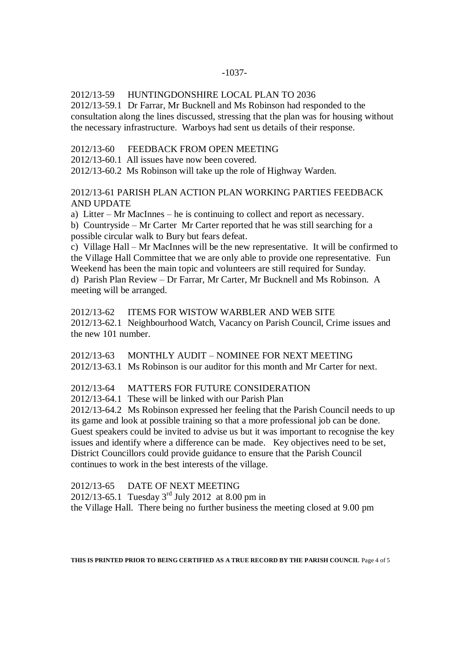## 2012/13-59 HUNTINGDONSHIRE LOCAL PLAN TO 2036

2012/13-59.1 Dr Farrar, Mr Bucknell and Ms Robinson had responded to the consultation along the lines discussed, stressing that the plan was for housing without the necessary infrastructure. Warboys had sent us details of their response.

2012/13-60 FEEDBACK FROM OPEN MEETING

2012/13-60.1 All issues have now been covered.

2012/13-60.2 Ms Robinson will take up the role of Highway Warden.

2012/13-61 PARISH PLAN ACTION PLAN WORKING PARTIES FEEDBACK AND UPDATE

a) Litter – Mr MacInnes – he is continuing to collect and report as necessary. b) Countryside – Mr Carter Mr Carter reported that he was still searching for a

possible circular walk to Bury but fears defeat.

c) Village Hall – Mr MacInnes will be the new representative. It will be confirmed to the Village Hall Committee that we are only able to provide one representative. Fun Weekend has been the main topic and volunteers are still required for Sunday.

d) Parish Plan Review – Dr Farrar, Mr Carter, Mr Bucknell and Ms Robinson. A meeting will be arranged.

2012/13-62 ITEMS FOR WISTOW WARBLER AND WEB SITE 2012/13-62.1 Neighbourhood Watch, Vacancy on Parish Council, Crime issues and the new 101 number.

2012/13-63 MONTHLY AUDIT – NOMINEE FOR NEXT MEETING 2012/13-63.1 Ms Robinson is our auditor for this month and Mr Carter for next.

2012/13-64 MATTERS FOR FUTURE CONSIDERATION

2012/13-64.1 These will be linked with our Parish Plan

2012/13-64.2 Ms Robinson expressed her feeling that the Parish Council needs to up its game and look at possible training so that a more professional job can be done. Guest speakers could be invited to advise us but it was important to recognise the key issues and identify where a difference can be made. Key objectives need to be set, District Councillors could provide guidance to ensure that the Parish Council continues to work in the best interests of the village.

2012/13-65 DATE OF NEXT MEETING

2012/13-65.1 Tuesday  $3^{rd}$  July 2012 at 8.00 pm in

the Village Hall. There being no further business the meeting closed at 9.00 pm

**THIS IS PRINTED PRIOR TO BEING CERTIFIED AS A TRUE RECORD BY THE PARISH COUNCIL** Page 4 of 5